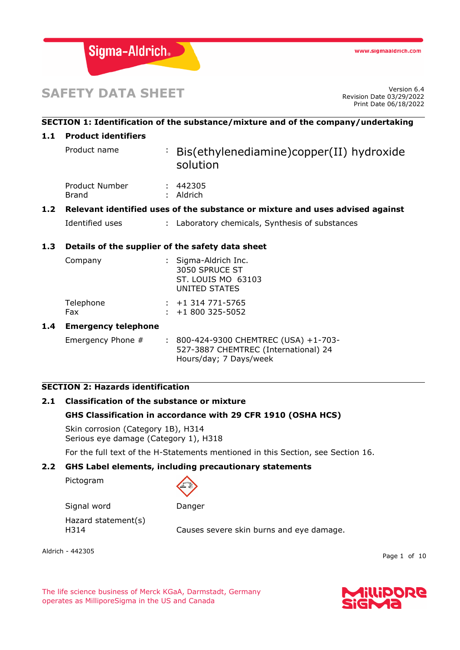

# **SAFETY DATA SHEET**

Revision Date 03/29/2022 Print Date 06/18/2022

# **SECTION 1: Identification of the substance/mixture and of the company/undertaking 1.1 Product identifiers** Product name : Bis(ethylenediamine)copper(II) hydroxide solution Product Number : 442305 Brand : Aldrich **1.2 Relevant identified uses of the substance or mixture and uses advised against** Identified uses : Laboratory chemicals, Synthesis of substances **1.3 Details of the supplier of the safety data sheet** Company : Sigma-Aldrich Inc. 3050 SPRUCE ST ST. LOUIS MO 63103 UNITED STATES Telephone : +1 314 771-5765 Fax : +1 800 325-5052 **1.4 Emergency telephone** Emergency Phone # : 800-424-9300 CHEMTREC (USA) +1-703-527-3887 CHEMTREC (International) 24 Hours/day; 7 Days/week

# **SECTION 2: Hazards identification**

# **2.1 Classification of the substance or mixture**

#### **GHS Classification in accordance with 29 CFR 1910 (OSHA HCS)**

Skin corrosion (Category 1B), H314 Serious eye damage (Category 1), H318

For the full text of the H-Statements mentioned in this Section, see Section 16.

#### **2.2 GHS Label elements, including precautionary statements**

Pictogram



Signal word Danger Hazard statement(s) H314 Causes severe skin burns and eye damage.

Aldrich - 442305

Page 1 of 10

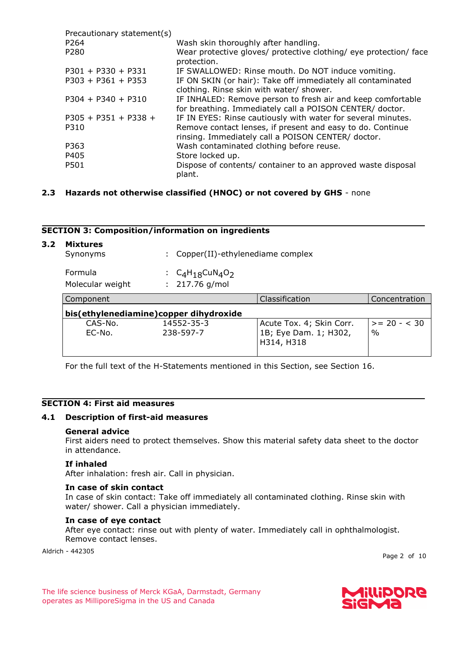| Precautionary statement(s) |                                                                                                                         |
|----------------------------|-------------------------------------------------------------------------------------------------------------------------|
| P <sub>264</sub>           | Wash skin thoroughly after handling.                                                                                    |
| P280                       | Wear protective gloves/ protective clothing/ eye protection/ face<br>protection.                                        |
| $P301 + P330 + P331$       | IF SWALLOWED: Rinse mouth. Do NOT induce vomiting.                                                                      |
| $P303 + P361 + P353$       | IF ON SKIN (or hair): Take off immediately all contaminated<br>clothing. Rinse skin with water/ shower.                 |
| $P304 + P340 + P310$       | IF INHALED: Remove person to fresh air and keep comfortable<br>for breathing. Immediately call a POISON CENTER/ doctor. |
| $P305 + P351 + P338 +$     | IF IN EYES: Rinse cautiously with water for several minutes.                                                            |
| P310                       | Remove contact lenses, if present and easy to do. Continue<br>rinsing. Immediately call a POISON CENTER/ doctor.        |
| P363                       | Wash contaminated clothing before reuse.                                                                                |
| P405                       | Store locked up.                                                                                                        |
| P501                       | Dispose of contents/ container to an approved waste disposal<br>plant.                                                  |

# **2.3 Hazards not otherwise classified (HNOC) or not covered by GHS** - none

# **SECTION 3: Composition/information on ingredients**

| 3.2 | <b>Mixtures</b><br>Synonyms |                                        | Copper(II)-ethylenediame complex      |                                                                 |                                 |  |  |  |
|-----|-----------------------------|----------------------------------------|---------------------------------------|-----------------------------------------------------------------|---------------------------------|--|--|--|
|     | Formula<br>Molecular weight |                                        | $C_4H_1gCuN_4O_2$<br>: $217.76$ g/mol |                                                                 |                                 |  |  |  |
|     | Component                   |                                        |                                       | Classification                                                  | Concentration                   |  |  |  |
|     |                             | bis(ethylenediamine)copper dihydroxide |                                       |                                                                 |                                 |  |  |  |
|     | $CAS-N0$ .<br>$EC-N0$ .     |                                        | 14552-35-3<br>238-597-7               | Acute Tox. 4; Skin Corr.<br>1B; Eye Dam. 1; H302,<br>H314, H318 | $>= 20 - < 30$<br>$\frac{0}{0}$ |  |  |  |

For the full text of the H-Statements mentioned in this Section, see Section 16.

# **SECTION 4: First aid measures**

# **4.1 Description of first-aid measures**

#### **General advice**

First aiders need to protect themselves. Show this material safety data sheet to the doctor in attendance.

## **If inhaled**

After inhalation: fresh air. Call in physician.

#### **In case of skin contact**

In case of skin contact: Take off immediately all contaminated clothing. Rinse skin with water/ shower. Call a physician immediately.

# **In case of eye contact**

After eye contact: rinse out with plenty of water. Immediately call in ophthalmologist. Remove contact lenses.

Aldrich - 442305

Page 2 of 10

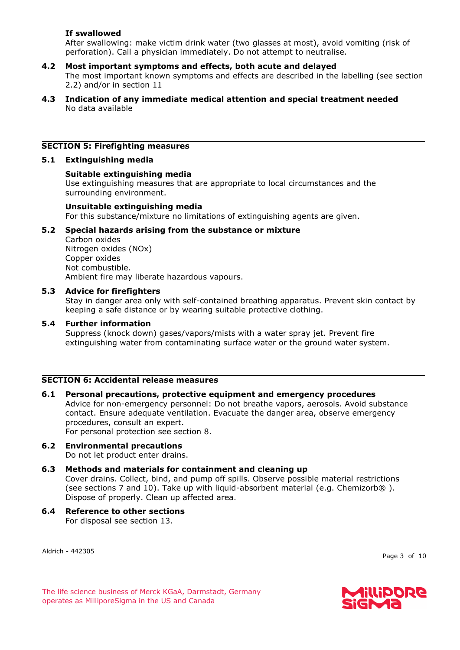# **If swallowed**

After swallowing: make victim drink water (two glasses at most), avoid vomiting (risk of perforation). Call a physician immediately. Do not attempt to neutralise.

# **4.2 Most important symptoms and effects, both acute and delayed**

The most important known symptoms and effects are described in the labelling (see section 2.2) and/or in section 11

## **4.3 Indication of any immediate medical attention and special treatment needed** No data available

# **SECTION 5: Firefighting measures**

# **5.1 Extinguishing media**

# **Suitable extinguishing media**

Use extinguishing measures that are appropriate to local circumstances and the surrounding environment.

## **Unsuitable extinguishing media**

For this substance/mixture no limitations of extinguishing agents are given.

# **5.2 Special hazards arising from the substance or mixture**

Carbon oxides Nitrogen oxides (NOx) Copper oxides Not combustible. Ambient fire may liberate hazardous vapours.

# **5.3 Advice for firefighters**

Stay in danger area only with self-contained breathing apparatus. Prevent skin contact by keeping a safe distance or by wearing suitable protective clothing.

# **5.4 Further information**

Suppress (knock down) gases/vapors/mists with a water spray jet. Prevent fire extinguishing water from contaminating surface water or the ground water system.

# **SECTION 6: Accidental release measures**

## **6.1 Personal precautions, protective equipment and emergency procedures** Advice for non-emergency personnel: Do not breathe vapors, aerosols. Avoid substance contact. Ensure adequate ventilation. Evacuate the danger area, observe emergency procedures, consult an expert. For personal protection see section 8.

- **6.2 Environmental precautions** Do not let product enter drains.
- **6.3 Methods and materials for containment and cleaning up** Cover drains. Collect, bind, and pump off spills. Observe possible material restrictions (see sections 7 and 10). Take up with liquid-absorbent material (e.g. Chemizorb $\circledR$ ). Dispose of properly. Clean up affected area.
- **6.4 Reference to other sections** For disposal see section 13.

Aldrich - 442305

Page 3 of 10

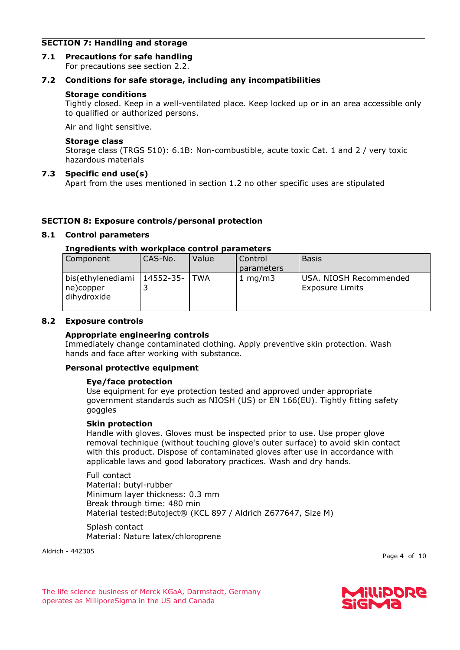# **SECTION 7: Handling and storage**

**7.1 Precautions for safe handling** For precautions see section 2.2.

# **7.2 Conditions for safe storage, including any incompatibilities**

# **Storage conditions**

Tightly closed. Keep in a well-ventilated place. Keep locked up or in an area accessible only to qualified or authorized persons.

Air and light sensitive.

# **Storage class**

Storage class (TRGS 510): 6.1B: Non-combustible, acute toxic Cat. 1 and 2 / very toxic hazardous materials

# **7.3 Specific end use(s)**

Apart from the uses mentioned in section 1.2 no other specific uses are stipulated

# **SECTION 8: Exposure controls/personal protection**

# **8.1 Control parameters**

# **Ingredients with workplace control parameters**

| Component                                     | CAS-No.   | Value | Control    | <b>Basis</b>                                     |
|-----------------------------------------------|-----------|-------|------------|--------------------------------------------------|
|                                               |           |       | parameters |                                                  |
| bis(ethylenediami<br>ne)copper<br>dihydroxide | 14552-35- | TWA   | 1 mg/m $3$ | USA. NIOSH Recommended<br><b>Exposure Limits</b> |

# **8.2 Exposure controls**

# **Appropriate engineering controls**

Immediately change contaminated clothing. Apply preventive skin protection. Wash hands and face after working with substance.

# **Personal protective equipment**

# **Eye/face protection**

Use equipment for eye protection tested and approved under appropriate government standards such as NIOSH (US) or EN 166(EU). Tightly fitting safety goggles

# **Skin protection**

Handle with gloves. Gloves must be inspected prior to use. Use proper glove removal technique (without touching glove's outer surface) to avoid skin contact with this product. Dispose of contaminated gloves after use in accordance with applicable laws and good laboratory practices. Wash and dry hands.

Full contact Material: butyl-rubber Minimum layer thickness: 0.3 mm Break through time: 480 min Material tested:Butoject® (KCL 897 / Aldrich Z677647, Size M)

Splash contact Material: Nature latex/chloroprene

Aldrich - 442305

Page 4 of 10

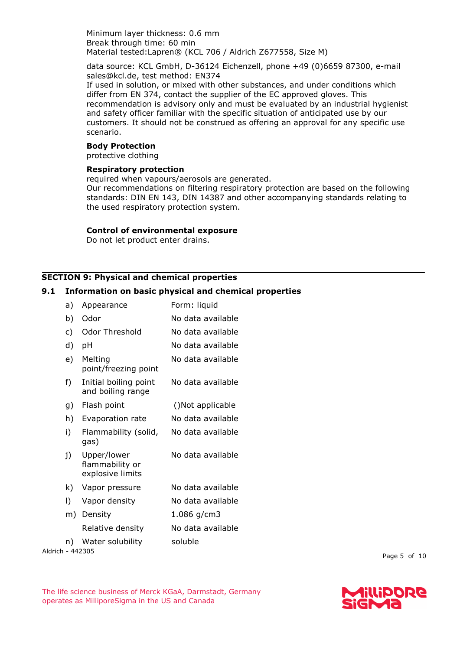Minimum layer thickness: 0.6 mm Break through time: 60 min Material tested:Lapren® (KCL 706 / Aldrich Z677558, Size M)

data source: KCL GmbH, D-36124 Eichenzell, phone +49 (0)6659 87300, e-mail sales@kcl.de, test method: EN374

If used in solution, or mixed with other substances, and under conditions which differ from EN 374, contact the supplier of the EC approved gloves. This recommendation is advisory only and must be evaluated by an industrial hygienist and safety officer familiar with the specific situation of anticipated use by our customers. It should not be construed as offering an approval for any specific use scenario.

## **Body Protection**

protective clothing

### **Respiratory protection**

required when vapours/aerosols are generated.

Our recommendations on filtering respiratory protection are based on the following standards: DIN EN 143, DIN 14387 and other accompanying standards relating to the used respiratory protection system.

#### **Control of environmental exposure**

Do not let product enter drains.

### **SECTION 9: Physical and chemical properties**

## **9.1 Information on basic physical and chemical properties**

Aldrich - 442305 a) Appearance Form: liquid b) Odor No data available c) Odor Threshold No data available d) pH No data available e) Melting point/freezing point No data available f) Initial boiling point and boiling range No data available g) Flash point ()Not applicable h) Evaporation rate No data available i) Flammability (solid, gas) No data available j) Upper/lower flammability or explosive limits No data available k) Vapor pressure No data available l) Vapor density No data available m) Density 1.086 g/cm3 Relative density Mo data available n) Water solubility soluble

Page 5 of 10



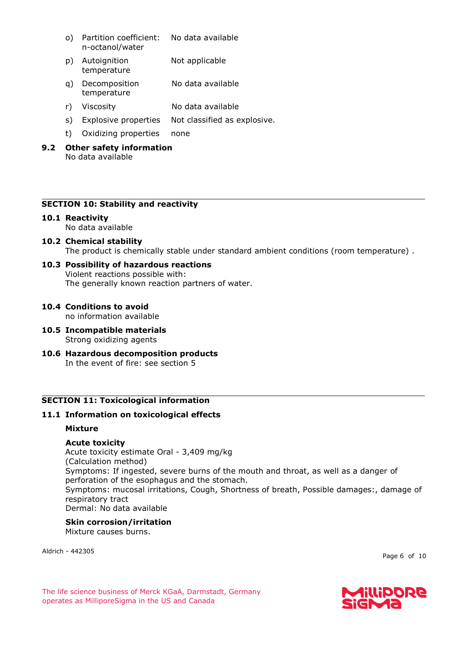- o) Partition coefficient: n-octanol/water No data available
- p) Autoignition temperature Not applicable
- q) Decomposition temperature No data available
- r) Viscosity No data available
- s) Explosive properties Not classified as explosive.
- t) Oxidizing properties none

## **9.2 Other safety information** No data available

# **SECTION 10: Stability and reactivity**

# **10.1 Reactivity**

No data available

**10.2 Chemical stability** The product is chemically stable under standard ambient conditions (room temperature) .

# **10.3 Possibility of hazardous reactions**

Violent reactions possible with: The generally known reaction partners of water.

**10.4 Conditions to avoid**

no information available

- **10.5 Incompatible materials** Strong oxidizing agents
- **10.6 Hazardous decomposition products** In the event of fire: see section 5

# **SECTION 11: Toxicological information**

# **11.1 Information on toxicological effects**

# **Mixture**

# **Acute toxicity**

Acute toxicity estimate Oral - 3,409 mg/kg (Calculation method) Symptoms: If ingested, severe burns of the mouth and throat, as well as a danger of perforation of the esophagus and the stomach. Symptoms: mucosal irritations, Cough, Shortness of breath, Possible damages:, damage of respiratory tract Dermal: No data available

# **Skin corrosion/irritation**

Mixture causes burns.

Aldrich - 442305

Page 6 of 10

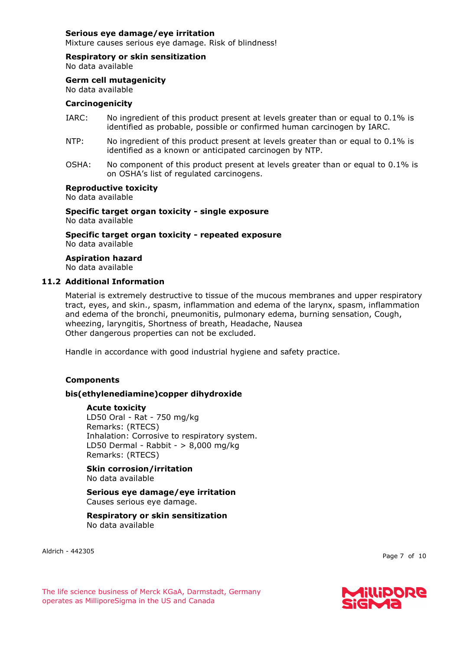## **Serious eye damage/eye irritation**

Mixture causes serious eye damage. Risk of blindness!

#### **Respiratory or skin sensitization**

No data available

## **Germ cell mutagenicity**

# No data available

# **Carcinogenicity**

- IARC: No ingredient of this product present at levels greater than or equal to 0.1% is identified as probable, possible or confirmed human carcinogen by IARC.
- NTP: No ingredient of this product present at levels greater than or equal to 0.1% is identified as a known or anticipated carcinogen by NTP.
- OSHA: No component of this product present at levels greater than or equal to 0.1% is on OSHA's list of regulated carcinogens.

#### **Reproductive toxicity**

No data available

**Specific target organ toxicity - single exposure** No data available

**Specific target organ toxicity - repeated exposure** No data available

**Aspiration hazard** No data available

## **11.2 Additional Information**

Material is extremely destructive to tissue of the mucous membranes and upper respiratory tract, eyes, and skin., spasm, inflammation and edema of the larynx, spasm, inflammation and edema of the bronchi, pneumonitis, pulmonary edema, burning sensation, Cough, wheezing, laryngitis, Shortness of breath, Headache, Nausea Other dangerous properties can not be excluded.

Handle in accordance with good industrial hygiene and safety practice.

# **Components**

# **bis(ethylenediamine)copper dihydroxide**

#### **Acute toxicity**

LD50 Oral - Rat - 750 mg/kg Remarks: (RTECS) Inhalation: Corrosive to respiratory system. LD50 Dermal - Rabbit -  $> 8,000$  mg/kg Remarks: (RTECS)

**Skin corrosion/irritation** No data available

## **Serious eye damage/eye irritation** Causes serious eye damage.

## **Respiratory or skin sensitization** No data available

Aldrich - 442305

Page 7 of 10

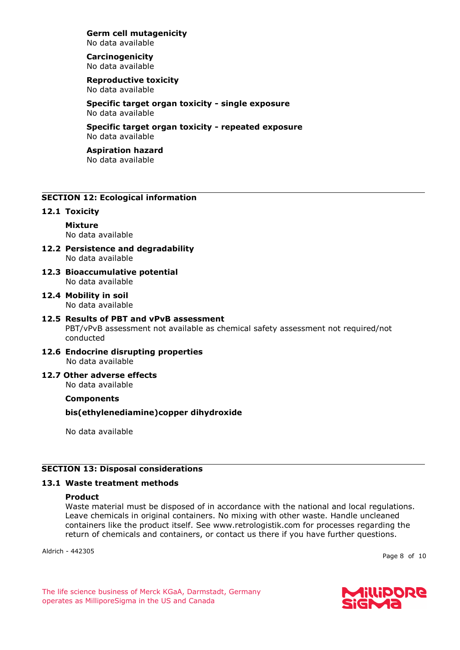**Germ cell mutagenicity** No data available

#### **Carcinogenicity** No data available

**Reproductive toxicity** No data available

**Specific target organ toxicity - single exposure** No data available

**Specific target organ toxicity - repeated exposure** No data available

#### **Aspiration hazard** No data available

# **SECTION 12: Ecological information**

## **12.1 Toxicity**

**Mixture** No data available

- **12.2 Persistence and degradability** No data available
- **12.3 Bioaccumulative potential** No data available
- **12.4 Mobility in soil** No data available
- **12.5 Results of PBT and vPvB assessment** PBT/vPvB assessment not available as chemical safety assessment not required/not conducted
- **12.6 Endocrine disrupting properties** No data available
- **12.7 Other adverse effects** No data available

# **Components**

**bis(ethylenediamine)copper dihydroxide**

No data available

# **SECTION 13: Disposal considerations**

# **13.1 Waste treatment methods**

#### **Product**

Waste material must be disposed of in accordance with the national and local regulations. Leave chemicals in original containers. No mixing with other waste. Handle uncleaned containers like the product itself. See www.retrologistik.com for processes regarding the return of chemicals and containers, or contact us there if you have further questions.

Aldrich - 442305

Page 8 of 10

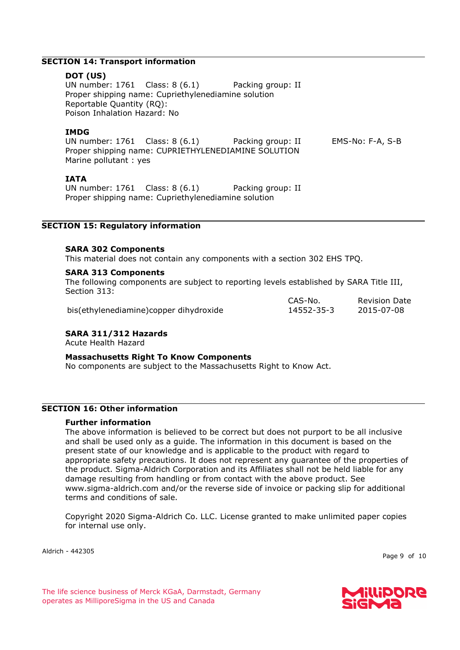## **SECTION 14: Transport information**

#### **DOT (US)**

UN number: 1761 Class: 8 (6.1) Packing group: II Proper shipping name: Cupriethylenediamine solution Reportable Quantity (RQ): Poison Inhalation Hazard: No

## **IMDG**

UN number: 1761 Class: 8 (6.1) Packing group: II EMS-No: F-A, S-B Proper shipping name: CUPRIETHYLENEDIAMINE SOLUTION Marine pollutant : yes

## **IATA**

UN number: 1761 Class: 8 (6.1) Packing group: II Proper shipping name: Cupriethylenediamine solution

# **SECTION 15: Regulatory information**

## **SARA 302 Components**

This material does not contain any components with a section 302 EHS TPQ.

## **SARA 313 Components**

The following components are subject to reporting levels established by SARA Title III, Section 313:

> CAS-No. 14552-35-3

bis(ethylenediamine)copper dihydroxide

# **SARA 311/312 Hazards**

Acute Health Hazard

#### **Massachusetts Right To Know Components**

No components are subject to the Massachusetts Right to Know Act.

## **SECTION 16: Other information**

#### **Further information**

The above information is believed to be correct but does not purport to be all inclusive and shall be used only as a guide. The information in this document is based on the present state of our knowledge and is applicable to the product with regard to appropriate safety precautions. It does not represent any guarantee of the properties of the product. Sigma-Aldrich Corporation and its Affiliates shall not be held liable for any damage resulting from handling or from contact with the above product. See www.sigma-aldrich.com and/or the reverse side of invoice or packing slip for additional terms and conditions of sale.

Copyright 2020 Sigma-Aldrich Co. LLC. License granted to make unlimited paper copies for internal use only.

Aldrich - 442305

Page 9 of 10



Revision Date 2015-07-08